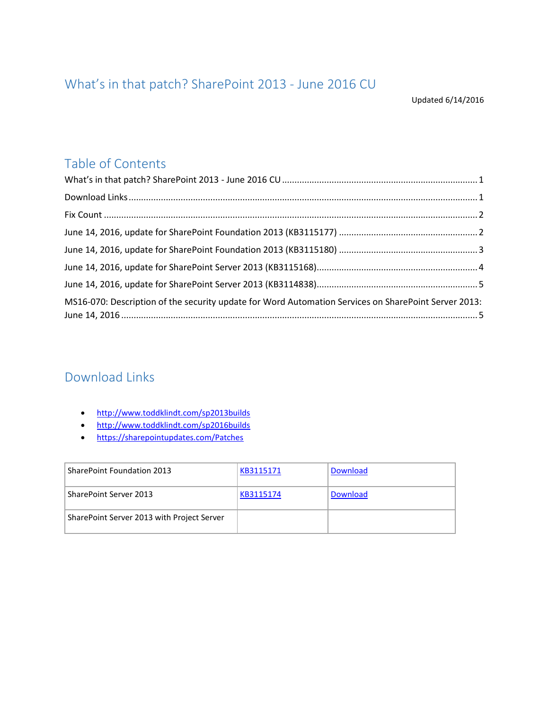## <span id="page-0-0"></span>What's in that patch? SharePoint 2013 - June 2016 CU

Updated 6/14/2016

## Table of Contents

| MS16-070: Description of the security update for Word Automation Services on SharePoint Server 2013: |  |
|------------------------------------------------------------------------------------------------------|--|

#### <span id="page-0-1"></span>Download Links

- <http://www.toddklindt.com/sp2013builds>
- <http://www.toddklindt.com/sp2016builds>
- <https://sharepointupdates.com/Patches>

| <b>SharePoint Foundation 2013</b>          | KB3115171 | Download |
|--------------------------------------------|-----------|----------|
| SharePoint Server 2013                     | KB3115174 | Download |
| SharePoint Server 2013 with Project Server |           |          |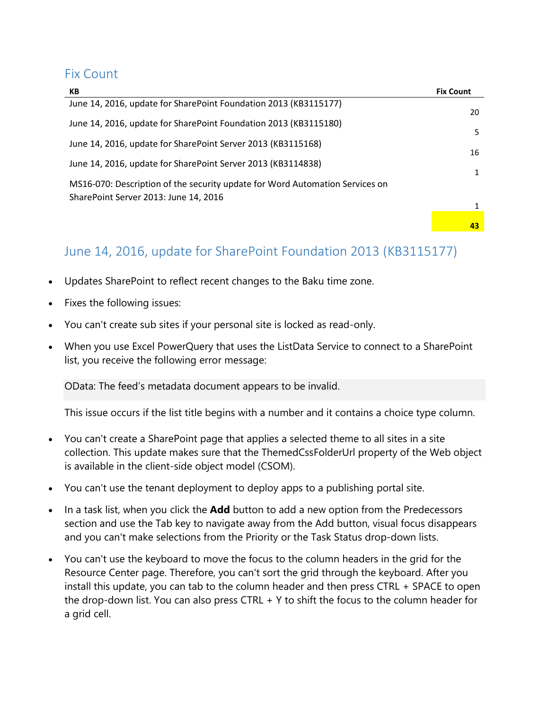#### <span id="page-1-0"></span>Fix Count

| КB                                                                           | <b>Fix Count</b> |
|------------------------------------------------------------------------------|------------------|
| June 14, 2016, update for SharePoint Foundation 2013 (KB3115177)             | 20               |
| June 14, 2016, update for SharePoint Foundation 2013 (KB3115180)             | 5                |
| June 14, 2016, update for SharePoint Server 2013 (KB3115168)                 | 16               |
| June 14, 2016, update for SharePoint Server 2013 (KB3114838)                 |                  |
| MS16-070: Description of the security update for Word Automation Services on |                  |
| SharePoint Server 2013: June 14, 2016                                        |                  |
|                                                                              | 43               |

## <span id="page-1-1"></span>June 14, 2016, update for SharePoint Foundation 2013 (KB3115177)

- Updates SharePoint to reflect recent changes to the Baku time zone.
- Fixes the following issues:
- You can't create sub sites if your personal site is locked as read-only.
- When you use Excel PowerQuery that uses the ListData Service to connect to a SharePoint list, you receive the following error message:

OData: The feed's metadata document appears to be invalid.

This issue occurs if the list title begins with a number and it contains a choice type column.

- You can't create a SharePoint page that applies a selected theme to all sites in a site collection. This update makes sure that the ThemedCssFolderUrl property of the Web object is available in the client-side object model (CSOM).
- You can't use the tenant deployment to deploy apps to a publishing portal site.
- In a task list, when you click the **Add** button to add a new option from the Predecessors section and use the Tab key to navigate away from the Add button, visual focus disappears and you can't make selections from the Priority or the Task Status drop-down lists.
- You can't use the keyboard to move the focus to the column headers in the grid for the Resource Center page. Therefore, you can't sort the grid through the keyboard. After you install this update, you can tab to the column header and then press CTRL + SPACE to open the drop-down list. You can also press CTRL  $+$  Y to shift the focus to the column header for a grid cell.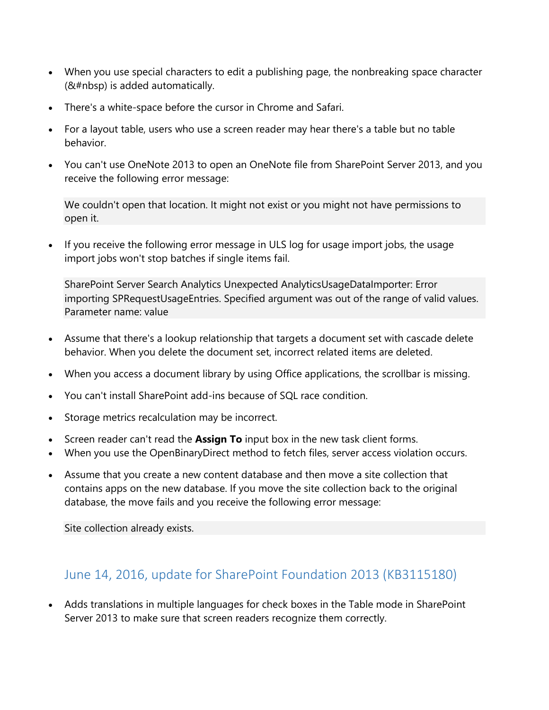- When you use special characters to edit a publishing page, the nonbreaking space character (&#nbsp) is added automatically.
- There's a white-space before the cursor in Chrome and Safari.
- For a layout table, users who use a screen reader may hear there's a table but no table behavior.
- You can't use OneNote 2013 to open an OneNote file from SharePoint Server 2013, and you receive the following error message:

We couldn't open that location. It might not exist or you might not have permissions to open it.

• If you receive the following error message in ULS log for usage import jobs, the usage import jobs won't stop batches if single items fail.

SharePoint Server Search Analytics Unexpected AnalyticsUsageDataImporter: Error importing SPRequestUsageEntries. Specified argument was out of the range of valid values. Parameter name: value

- Assume that there's a lookup relationship that targets a document set with cascade delete behavior. When you delete the document set, incorrect related items are deleted.
- When you access a document library by using Office applications, the scrollbar is missing.
- You can't install SharePoint add-ins because of SQL race condition.
- Storage metrics recalculation may be incorrect.
- Screen reader can't read the **Assign To** input box in the new task client forms.
- When you use the OpenBinaryDirect method to fetch files, server access violation occurs.
- Assume that you create a new content database and then move a site collection that contains apps on the new database. If you move the site collection back to the original database, the move fails and you receive the following error message:

Site collection already exists.

#### <span id="page-2-0"></span>June 14, 2016, update for SharePoint Foundation 2013 (KB3115180)

 Adds translations in multiple languages for check boxes in the Table mode in SharePoint Server 2013 to make sure that screen readers recognize them correctly.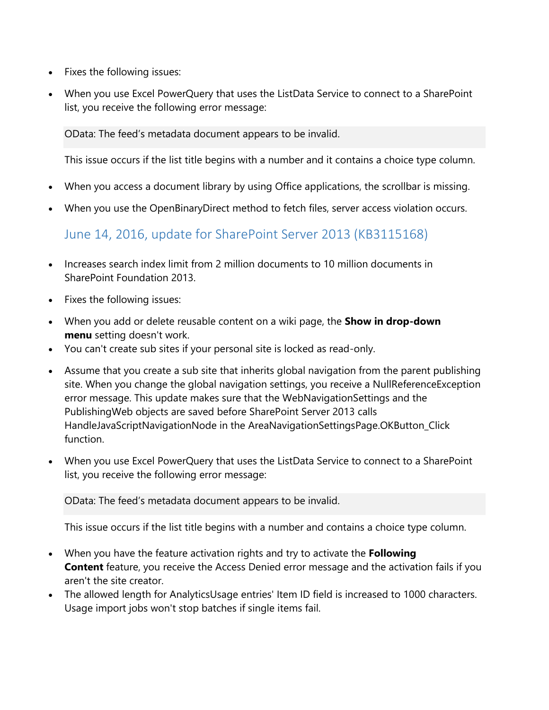- Fixes the following issues:
- When you use Excel PowerQuery that uses the ListData Service to connect to a SharePoint list, you receive the following error message:

OData: The feed's metadata document appears to be invalid.

This issue occurs if the list title begins with a number and it contains a choice type column.

- When you access a document library by using Office applications, the scrollbar is missing.
- When you use the OpenBinaryDirect method to fetch files, server access violation occurs.

<span id="page-3-0"></span>June 14, 2016, update for SharePoint Server 2013 (KB3115168)

- Increases search index limit from 2 million documents to 10 million documents in SharePoint Foundation 2013.
- Fixes the following issues:
- When you add or delete reusable content on a wiki page, the **Show in drop-down menu** setting doesn't work.
- You can't create sub sites if your personal site is locked as read-only.
- Assume that you create a sub site that inherits global navigation from the parent publishing site. When you change the global navigation settings, you receive a NullReferenceException error message. This update makes sure that the WebNavigationSettings and the PublishingWeb objects are saved before SharePoint Server 2013 calls HandleJavaScriptNavigationNode in the AreaNavigationSettingsPage.OKButton\_Click function.
- When you use Excel PowerQuery that uses the ListData Service to connect to a SharePoint list, you receive the following error message:

OData: The feed's metadata document appears to be invalid.

This issue occurs if the list title begins with a number and contains a choice type column.

- When you have the feature activation rights and try to activate the **Following Content** feature, you receive the Access Denied error message and the activation fails if you aren't the site creator.
- The allowed length for AnalyticsUsage entries' Item ID field is increased to 1000 characters. Usage import jobs won't stop batches if single items fail.